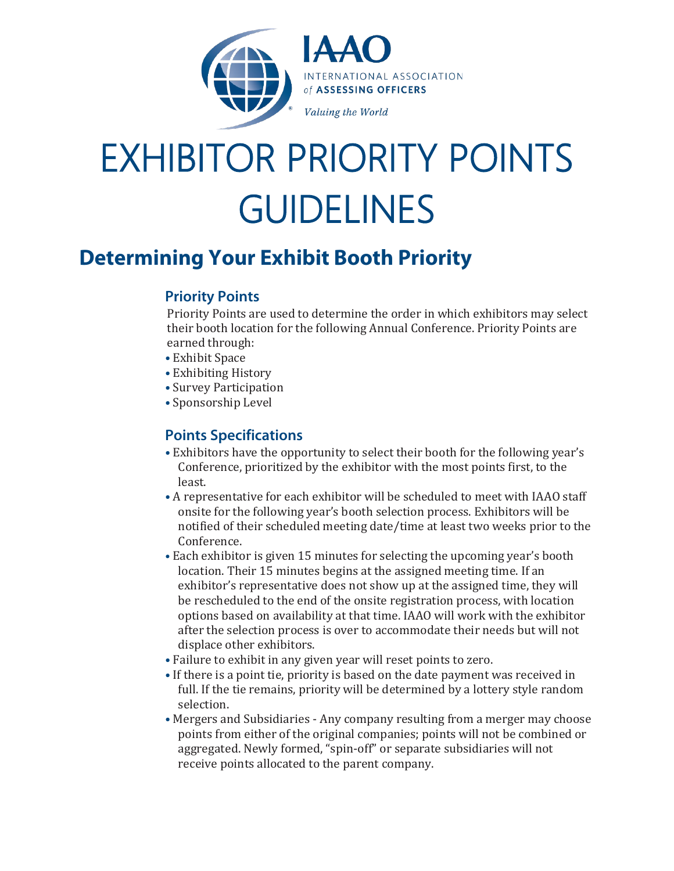

# EXHIBITOR PRIORITY POINTS GUIDELINES

# **Determining Your Exhibit Booth Priority**

## **Priority Points**

Priority Points are used to determine the order in which exhibitors may select their booth location for the following Annual Conference. Priority Points are earned through:

- Exhibit Space
- Exhibiting History
- Survey Participation
- Sponsorship Level

### **Points Specifications**

- Exhibitors have the opportunity to select their booth for the following year's Conference, prioritized by the exhibitor with the most points first, to the least.
- A representative for each exhibitor will be scheduled to meet with IAAO staff onsite for the following year's booth selection process. Exhibitors will be notified of their scheduled meeting date/time at least two weeks prior to the Conference.
- Each exhibitor is given 15 minutes for selecting the upcoming year's booth location. Their 15 minutes begins at the assigned meeting time. If an exhibitor's representative does not show up at the assigned time, they will be rescheduled to the end of the onsite registration process, with location options based on availability at that time. IAAO will work with the exhibitor after the selection process is over to accommodate their needs but will not displace other exhibitors.
- Failure to exhibit in any given year will reset points to zero.
- If there is a point tie, priority is based on the date payment was received in full. If the tie remains, priority will be determined by a lottery style random selection.
- Mergers and Subsidiaries Any company resulting from a merger may choose points from either of the original companies; points will not be combined or aggregated. Newly formed, "spin-off" or separate subsidiaries will not receive points allocated to the parent company.